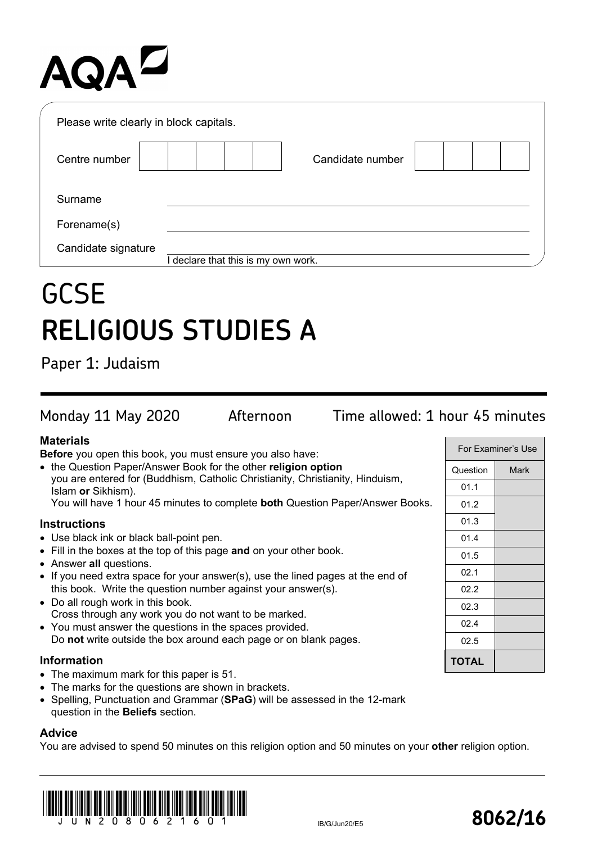# AQA<sup>D</sup>

| Please write clearly in block capitals. |                                   |
|-----------------------------------------|-----------------------------------|
|                                         |                                   |
| Centre number                           | Candidate number                  |
| Surname                                 |                                   |
| Forename(s)                             |                                   |
| Candidate signature                     |                                   |
|                                         | declare that this is my own work. |

# GCSE **RELIGIOUS STUDIES A**

Paper 1: Judaism

Monday 11 May 2020 Afternoon Time allowed: 1 hour 45 minutes

## **Materials**

**Before** you open this book, you must ensure you also have:

• the Question Paper/Answer Book for the other **religion option** you are entered for (Buddhism, Catholic Christianity, Christianity, Hinduism, Islam **or** Sikhism). You will have 1 hour 45 minutes to complete **both** Question Paper/Answer Books.

## **Instructions**

- Use black ink or black ball-point pen.
- Fill in the boxes at the top of this page **and** on your other book.
- Answer **all** questions.
- If you need extra space for your answer(s), use the lined pages at the end of this book. Write the question number against your answer(s).
- Do all rough work in this book. Cross through any work you do not want to be marked.
- You must answer the questions in the spaces provided. Do **not** write outside the box around each page or on blank pages.

#### **Information**

- The maximum mark for this paper is 51.
- The marks for the questions are shown in brackets.
- Spelling, Punctuation and Grammar (**SPaG**) will be assessed in the 12-mark question in the **Beliefs** section.

#### **Advice**

You are advised to spend 50 minutes on this religion option and 50 minutes on your **other** religion option.



| For Examiner's Use |             |
|--------------------|-------------|
| Question           | <b>Mark</b> |
| 01.1               |             |
| 01.2               |             |
| 01.3               |             |
| 01.4               |             |
| 01.5               |             |
| 02.1               |             |
| 02.2               |             |
| 02.3               |             |
| 02.4               |             |
| 02.5               |             |
| TOTAL              |             |

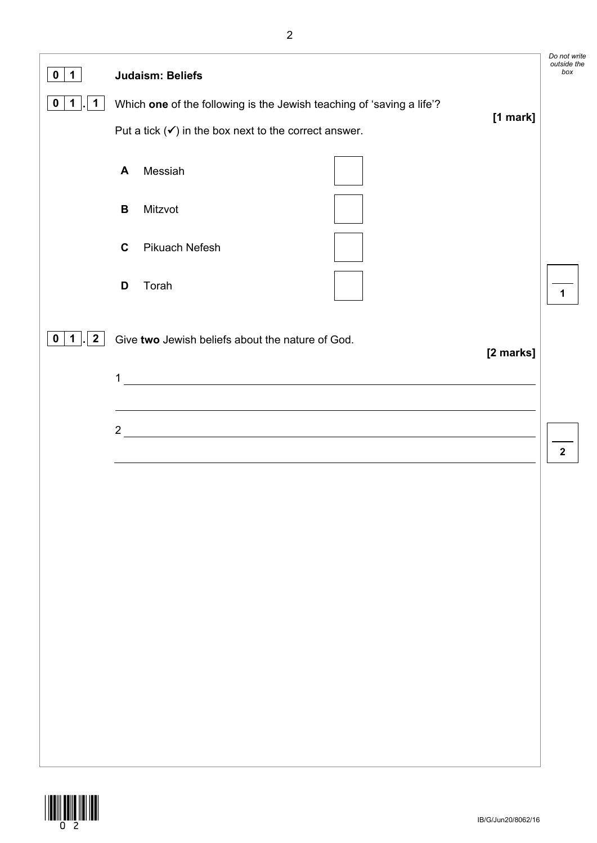|                                  |                                                                                                                            | Do not write<br>outside the |
|----------------------------------|----------------------------------------------------------------------------------------------------------------------------|-----------------------------|
| $\mathbf 1$<br>$\mathbf 0$       | <b>Judaism: Beliefs</b>                                                                                                    | box                         |
| $\mathbf 1$<br>1<br>$\mathbf{0}$ | Which one of the following is the Jewish teaching of 'saving a life'?<br>[1 mark]                                          |                             |
|                                  | Put a tick $(\checkmark)$ in the box next to the correct answer.                                                           |                             |
|                                  | Messiah<br>A                                                                                                               |                             |
|                                  | Mitzvot<br>B                                                                                                               |                             |
|                                  | $\mathbf C$<br>Pikuach Nefesh                                                                                              |                             |
|                                  | Torah<br>D                                                                                                                 | 1                           |
| $\overline{2}$<br>$0$   1        | Give two Jewish beliefs about the nature of God.<br>[2 marks]                                                              |                             |
|                                  | <u> 1989 - Johann Stoff, deutscher Stoff, der Stoff, der Stoff, der Stoff, der Stoff, der Stoff, der Stoff, der S</u><br>1 |                             |
|                                  | $2 \overline{ }$                                                                                                           |                             |
|                                  |                                                                                                                            | $\mathbf 2$                 |
|                                  |                                                                                                                            |                             |
|                                  |                                                                                                                            |                             |
|                                  |                                                                                                                            |                             |
|                                  |                                                                                                                            |                             |
|                                  |                                                                                                                            |                             |
|                                  |                                                                                                                            |                             |
|                                  |                                                                                                                            |                             |
|                                  |                                                                                                                            |                             |
|                                  |                                                                                                                            |                             |
|                                  |                                                                                                                            |                             |
|                                  |                                                                                                                            |                             |
|                                  |                                                                                                                            |                             |

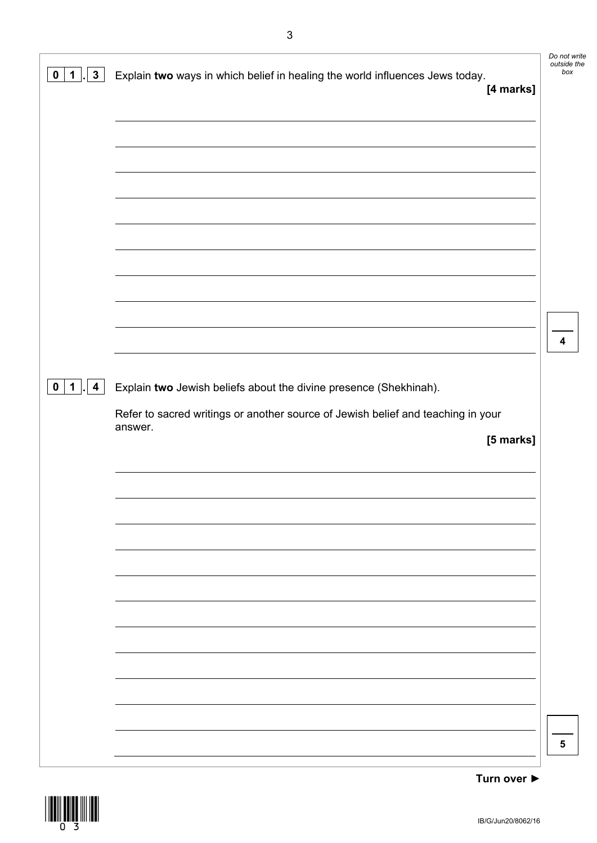| $\mathbf{3}$<br>0<br>1 | Explain two ways in which belief in healing the world influences Jews today.<br>[4 marks]                                                             | Do not write<br>outside the<br>box |
|------------------------|-------------------------------------------------------------------------------------------------------------------------------------------------------|------------------------------------|
|                        |                                                                                                                                                       |                                    |
|                        |                                                                                                                                                       |                                    |
|                        |                                                                                                                                                       |                                    |
|                        |                                                                                                                                                       |                                    |
|                        |                                                                                                                                                       |                                    |
| 4<br>$\mathbf 0$<br>1  |                                                                                                                                                       | 4                                  |
|                        | Explain two Jewish beliefs about the divine presence (Shekhinah).<br>Refer to sacred writings or another source of Jewish belief and teaching in your |                                    |
|                        | answer.<br>[5 marks]                                                                                                                                  |                                    |
|                        |                                                                                                                                                       |                                    |
|                        |                                                                                                                                                       |                                    |
|                        |                                                                                                                                                       |                                    |
|                        |                                                                                                                                                       |                                    |
|                        |                                                                                                                                                       |                                    |
|                        |                                                                                                                                                       |                                    |
|                        |                                                                                                                                                       |                                    |

**Turn over ►**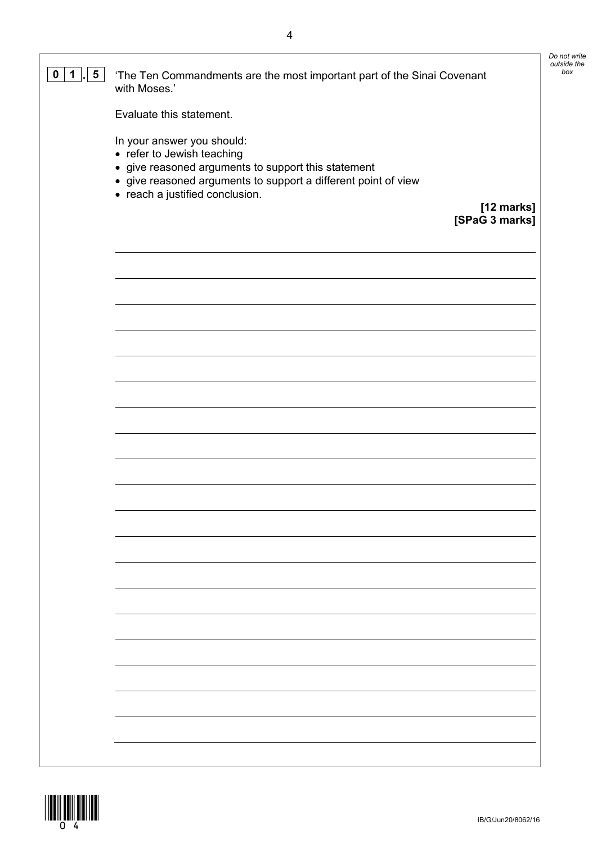

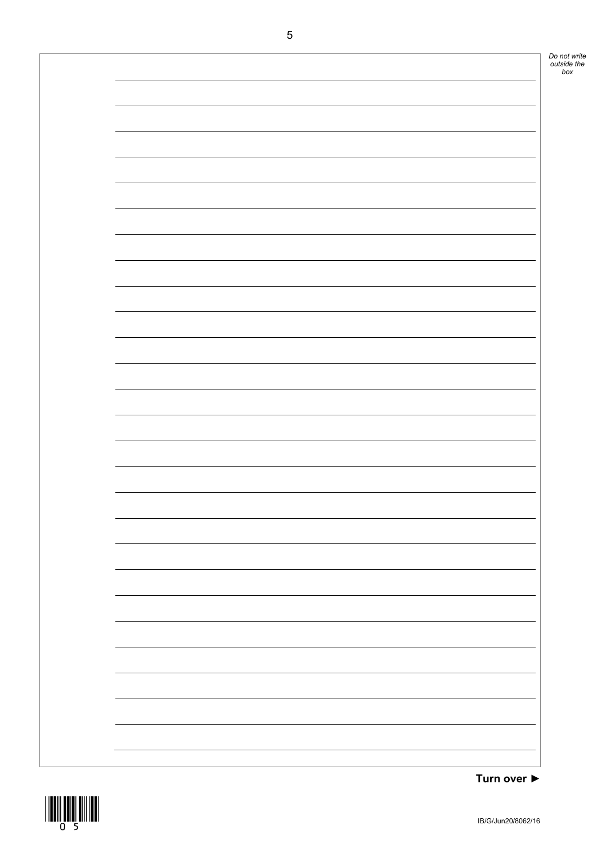

**Turn over ►**

*box*

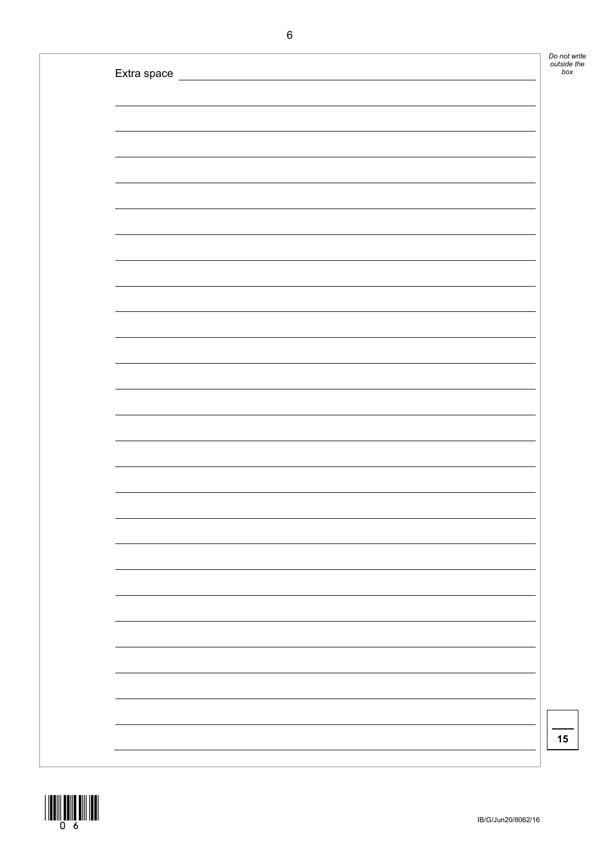| Extra space<br><u> 1980 - Johann Barn, mars an t-Amerikaansk politiker (</u> | Do not write<br>outside the<br>box |
|------------------------------------------------------------------------------|------------------------------------|
|                                                                              |                                    |
|                                                                              |                                    |
|                                                                              |                                    |
|                                                                              |                                    |
|                                                                              |                                    |
|                                                                              |                                    |
|                                                                              |                                    |
|                                                                              |                                    |
|                                                                              |                                    |
|                                                                              |                                    |
|                                                                              |                                    |
|                                                                              |                                    |
|                                                                              |                                    |
|                                                                              |                                    |
|                                                                              |                                    |
|                                                                              |                                    |
|                                                                              |                                    |
|                                                                              |                                    |
|                                                                              |                                    |
|                                                                              |                                    |
|                                                                              |                                    |
|                                                                              |                                    |
|                                                                              | 15                                 |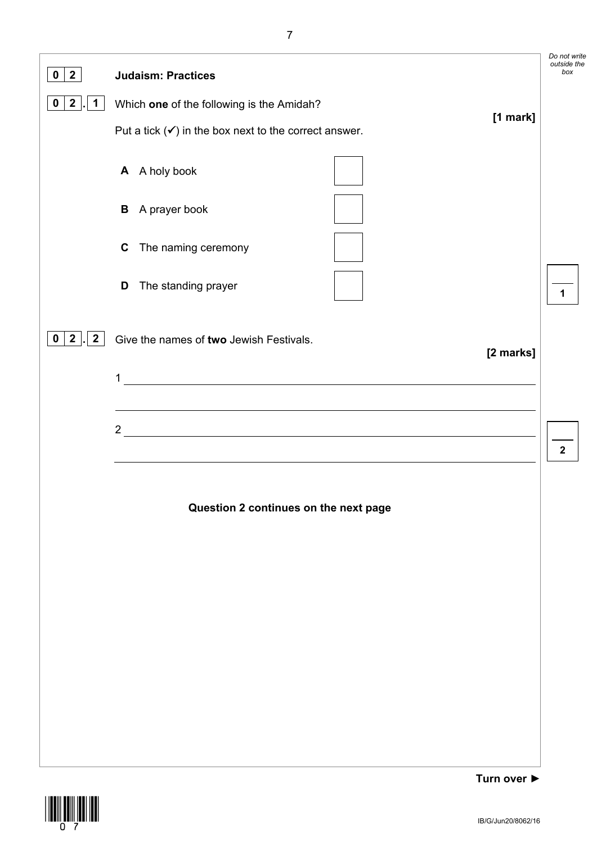| $\mathbf{2}$<br>0                     | <b>Judaism: Practices</b>                                                                                                  |                                 | Do not write<br>outside the<br>box |
|---------------------------------------|----------------------------------------------------------------------------------------------------------------------------|---------------------------------|------------------------------------|
| $\overline{2}$<br>0<br>$\mathbf 1$    | Which one of the following is the Amidah?                                                                                  |                                 |                                    |
|                                       | Put a tick $(\checkmark)$ in the box next to the correct answer.                                                           | [1 mark]                        |                                    |
|                                       | A A holy book                                                                                                              |                                 |                                    |
|                                       | <b>B</b> A prayer book                                                                                                     |                                 |                                    |
|                                       | The naming ceremony<br>C                                                                                                   |                                 |                                    |
|                                       | The standing prayer<br>D                                                                                                   |                                 | 1                                  |
| $\overline{2}$<br>$\overline{2}$<br>0 | Give the names of two Jewish Festivals.                                                                                    | [2 marks]                       |                                    |
|                                       | <u> 1989 - Johann Stoff, deutscher Stoff, der Stoff, der Stoff, der Stoff, der Stoff, der Stoff, der Stoff, der S</u><br>1 |                                 |                                    |
|                                       | <u> 1989 - Johann Barn, fransk politik (d. 1989)</u><br>$\overline{2}$                                                     |                                 | $\mathbf{2}$                       |
|                                       | Question 2 continues on the next page                                                                                      |                                 |                                    |
|                                       |                                                                                                                            | Turn over $\blacktriangleright$ |                                    |

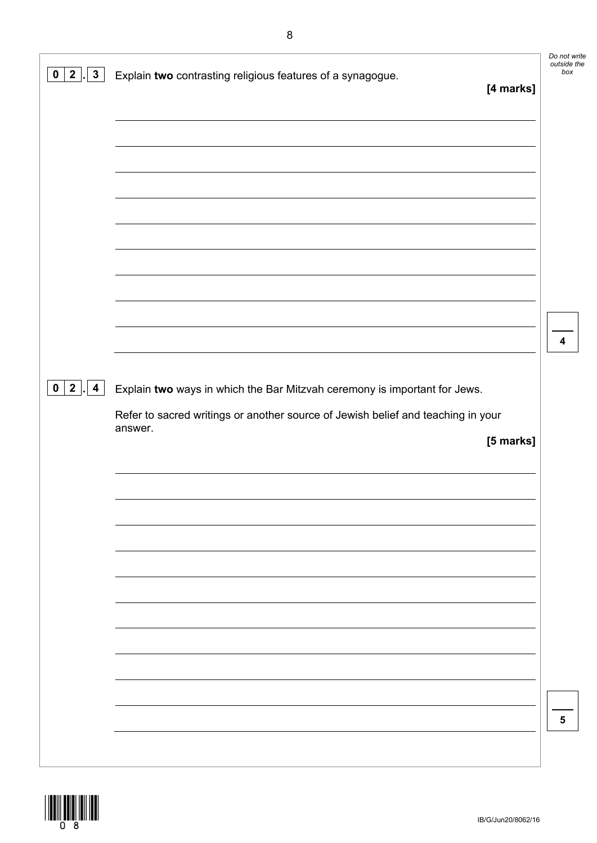| $\overline{\mathbf{2}}$<br>$\mathbf{3}$<br>0 | Explain two contrasting religious features of a synagogue.<br>[4 marks]                                                                                                  | Do not write<br>outside the<br>box |
|----------------------------------------------|--------------------------------------------------------------------------------------------------------------------------------------------------------------------------|------------------------------------|
|                                              |                                                                                                                                                                          |                                    |
|                                              |                                                                                                                                                                          |                                    |
|                                              |                                                                                                                                                                          | 4                                  |
| $0 \mid 2$<br>$\overline{\mathbf{4}}$        | Explain two ways in which the Bar Mitzvah ceremony is important for Jews.<br>Refer to sacred writings or another source of Jewish belief and teaching in your<br>answer. |                                    |
|                                              | [5 marks]                                                                                                                                                                |                                    |
|                                              |                                                                                                                                                                          |                                    |
|                                              |                                                                                                                                                                          |                                    |
|                                              |                                                                                                                                                                          | 5                                  |
|                                              |                                                                                                                                                                          |                                    |

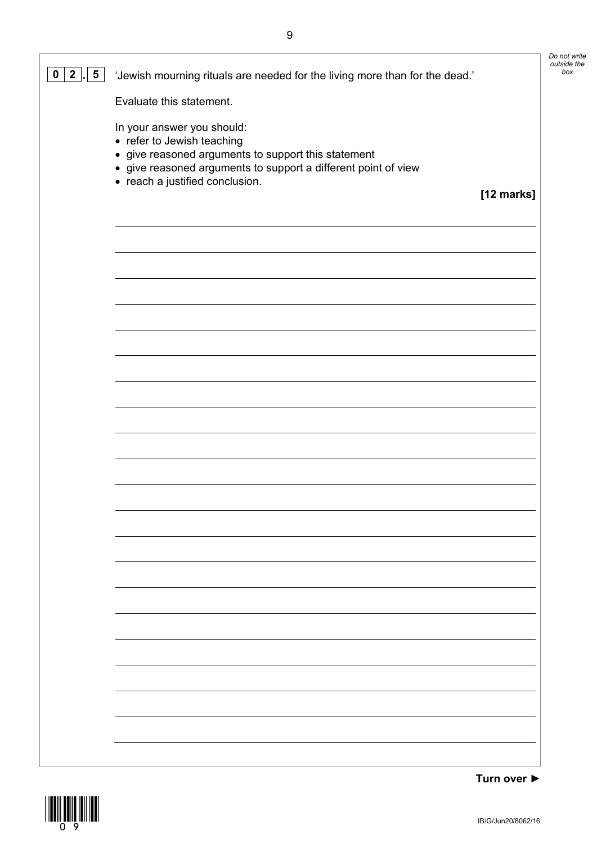|                                      |                                                                                                                                                                                                                      | Do not write       |
|--------------------------------------|----------------------------------------------------------------------------------------------------------------------------------------------------------------------------------------------------------------------|--------------------|
| 2 <br>$5\phantom{.0}$<br>$\mathbf 0$ | 'Jewish mourning rituals are needed for the living more than for the dead.'                                                                                                                                          | outside the<br>box |
|                                      | Evaluate this statement.                                                                                                                                                                                             |                    |
|                                      | In your answer you should:<br>• refer to Jewish teaching<br>• give reasoned arguments to support this statement<br>• give reasoned arguments to support a different point of view<br>• reach a justified conclusion. |                    |
|                                      | [12 marks]                                                                                                                                                                                                           |                    |
|                                      |                                                                                                                                                                                                                      |                    |
|                                      |                                                                                                                                                                                                                      |                    |
|                                      |                                                                                                                                                                                                                      |                    |
|                                      |                                                                                                                                                                                                                      |                    |
|                                      |                                                                                                                                                                                                                      |                    |
|                                      |                                                                                                                                                                                                                      |                    |
|                                      |                                                                                                                                                                                                                      |                    |
|                                      |                                                                                                                                                                                                                      |                    |
|                                      |                                                                                                                                                                                                                      |                    |
|                                      |                                                                                                                                                                                                                      |                    |
|                                      |                                                                                                                                                                                                                      |                    |
|                                      |                                                                                                                                                                                                                      |                    |
|                                      |                                                                                                                                                                                                                      |                    |
|                                      |                                                                                                                                                                                                                      |                    |
|                                      |                                                                                                                                                                                                                      |                    |
|                                      |                                                                                                                                                                                                                      |                    |
|                                      |                                                                                                                                                                                                                      |                    |
|                                      |                                                                                                                                                                                                                      |                    |
|                                      |                                                                                                                                                                                                                      |                    |
|                                      |                                                                                                                                                                                                                      |                    |
|                                      |                                                                                                                                                                                                                      |                    |
|                                      |                                                                                                                                                                                                                      |                    |
|                                      |                                                                                                                                                                                                                      |                    |

**Turn over ►**

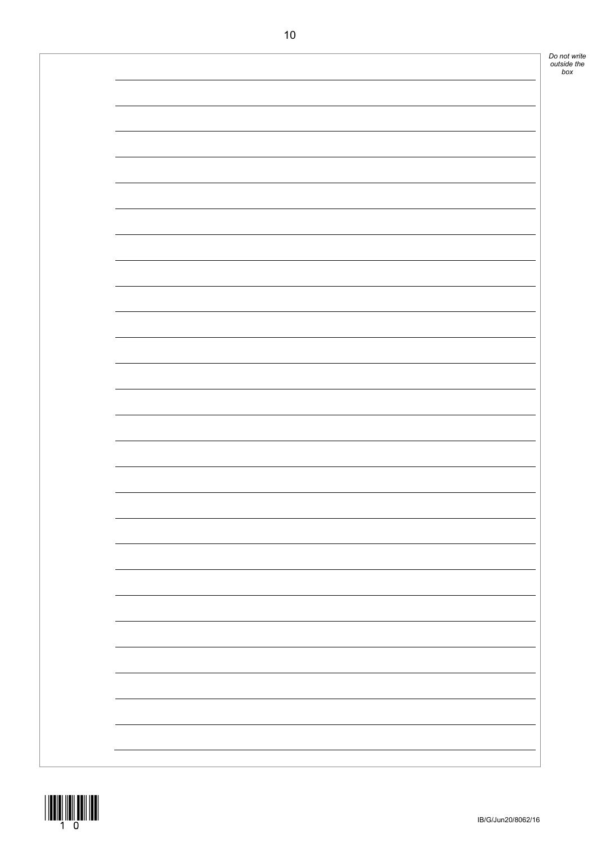



*Do not write outside the box*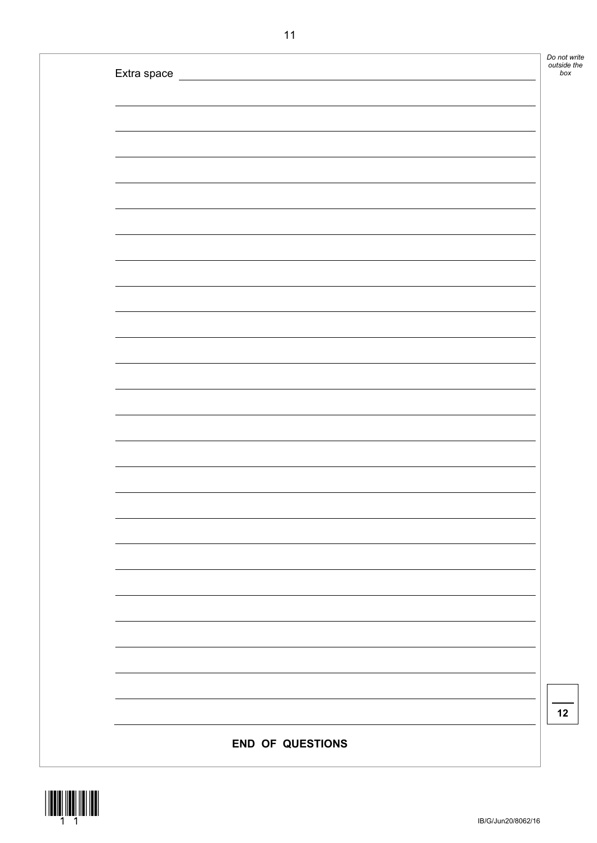

| Extra space <u>example and the set of the set of the set of the set of the set of the set of the set of the set o</u> | Do not write<br>outside the<br>box |
|-----------------------------------------------------------------------------------------------------------------------|------------------------------------|
|                                                                                                                       |                                    |
|                                                                                                                       |                                    |
|                                                                                                                       |                                    |
|                                                                                                                       |                                    |
|                                                                                                                       |                                    |
|                                                                                                                       |                                    |
|                                                                                                                       |                                    |
|                                                                                                                       |                                    |
|                                                                                                                       |                                    |
|                                                                                                                       |                                    |
|                                                                                                                       |                                    |
|                                                                                                                       |                                    |
|                                                                                                                       |                                    |
|                                                                                                                       | 12                                 |
| <b>END OF QUESTIONS</b>                                                                                               |                                    |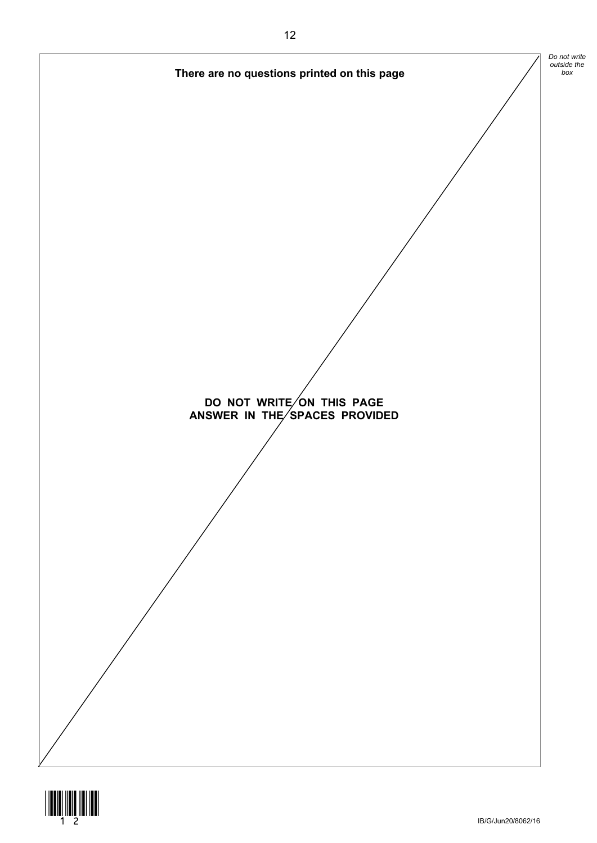

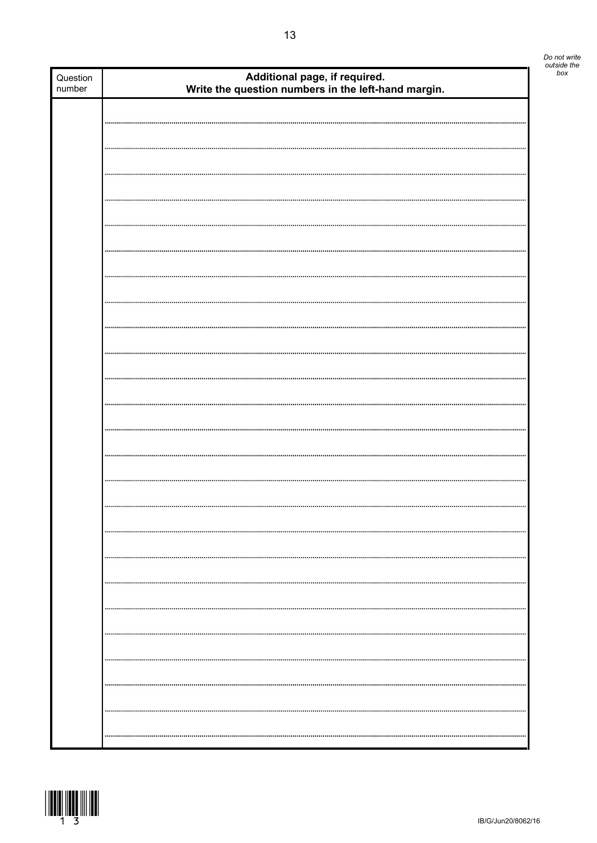| Question<br>number | Additional page, if required.<br>Write the question numbers in the left-hand margin. | bo) |
|--------------------|--------------------------------------------------------------------------------------|-----|
|                    |                                                                                      |     |
|                    |                                                                                      |     |
|                    |                                                                                      |     |
|                    |                                                                                      |     |
|                    |                                                                                      |     |
|                    |                                                                                      |     |
|                    |                                                                                      |     |
|                    |                                                                                      |     |
|                    |                                                                                      |     |
|                    |                                                                                      |     |
|                    |                                                                                      |     |
|                    |                                                                                      |     |
|                    |                                                                                      |     |
|                    |                                                                                      |     |
|                    |                                                                                      |     |
|                    |                                                                                      |     |
|                    |                                                                                      |     |
|                    |                                                                                      |     |
|                    |                                                                                      |     |
|                    |                                                                                      |     |
|                    |                                                                                      |     |
|                    |                                                                                      |     |
|                    |                                                                                      |     |
|                    |                                                                                      |     |
|                    |                                                                                      |     |
|                    |                                                                                      |     |
|                    |                                                                                      |     |
|                    |                                                                                      |     |
|                    |                                                                                      |     |
|                    |                                                                                      |     |
|                    |                                                                                      |     |
|                    |                                                                                      |     |
|                    |                                                                                      |     |
|                    |                                                                                      |     |
|                    |                                                                                      |     |
|                    |                                                                                      |     |
|                    |                                                                                      |     |
|                    |                                                                                      |     |
|                    |                                                                                      |     |

![](_page_12_Picture_1.jpeg)

*Do not write outside the*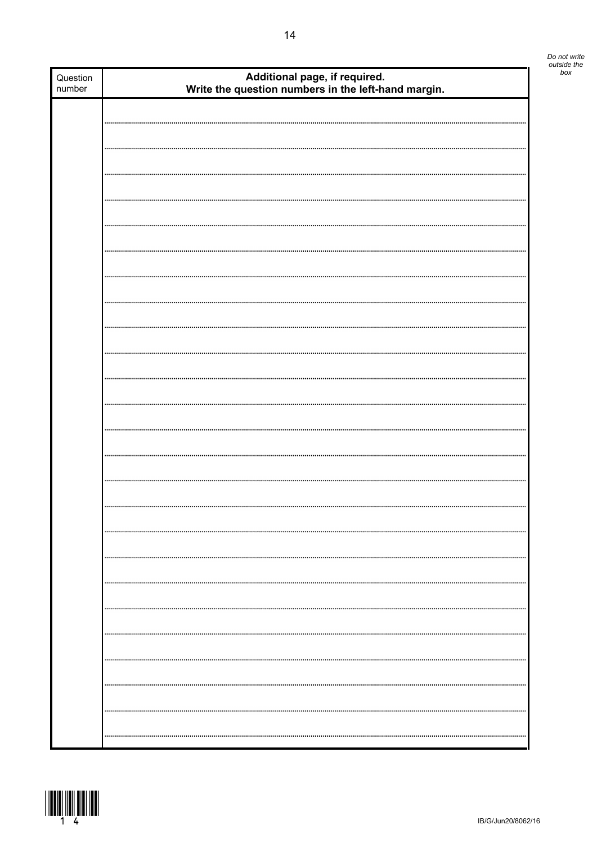![](_page_13_Picture_1.jpeg)

*Do not write outside the*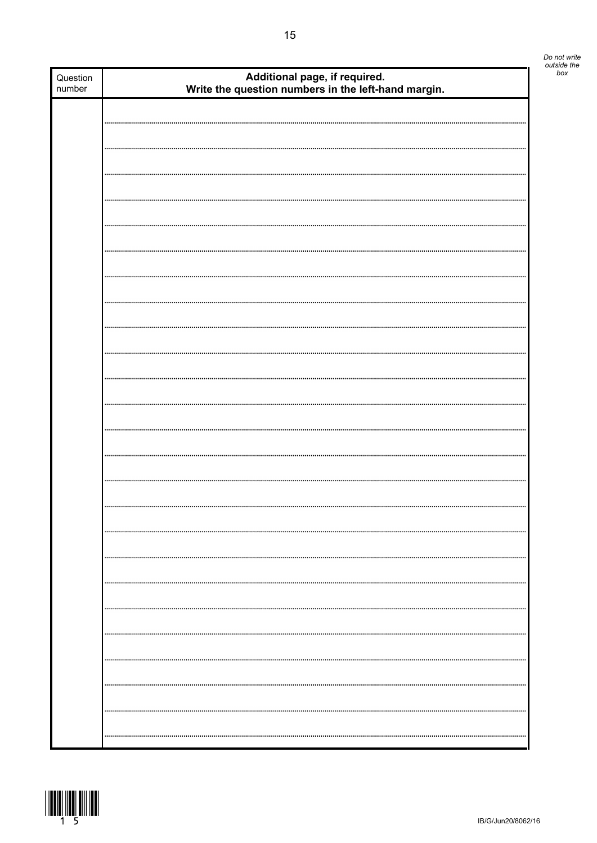| Question<br>number | Additional page, if required.<br>Write the question numbers in the left-hand margin. | bo) |
|--------------------|--------------------------------------------------------------------------------------|-----|
|                    |                                                                                      |     |
|                    |                                                                                      |     |
|                    |                                                                                      |     |
|                    |                                                                                      |     |
|                    |                                                                                      |     |
|                    |                                                                                      |     |
|                    |                                                                                      |     |
|                    |                                                                                      |     |
|                    |                                                                                      |     |
|                    |                                                                                      |     |
|                    |                                                                                      |     |
|                    |                                                                                      |     |
|                    |                                                                                      |     |
|                    |                                                                                      |     |
|                    |                                                                                      |     |
|                    |                                                                                      |     |
|                    |                                                                                      |     |
|                    |                                                                                      |     |
|                    |                                                                                      |     |
|                    |                                                                                      |     |
|                    |                                                                                      |     |
|                    |                                                                                      |     |
|                    |                                                                                      |     |
|                    |                                                                                      |     |
|                    |                                                                                      |     |
|                    |                                                                                      |     |
|                    |                                                                                      |     |
|                    |                                                                                      |     |
|                    |                                                                                      |     |
|                    |                                                                                      |     |
|                    |                                                                                      |     |
|                    |                                                                                      |     |
|                    |                                                                                      |     |
|                    |                                                                                      |     |
|                    |                                                                                      |     |
|                    |                                                                                      |     |

![](_page_14_Picture_1.jpeg)

*Do not write outside the*